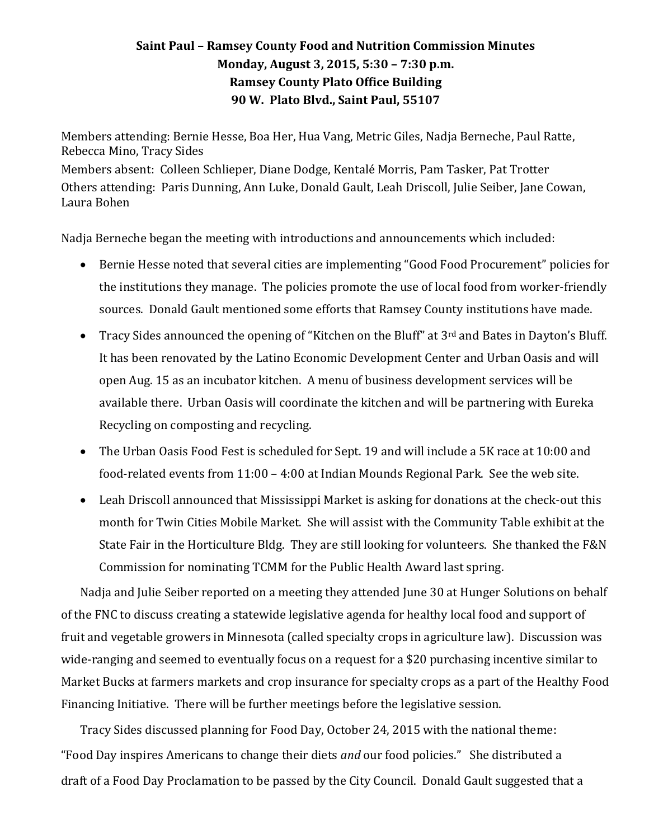## **Saint Paul – Ramsey County Food and Nutrition Commission Minutes Monday, August 3, 2015, 5:30 – 7:30 p.m. Ramsey County Plato Office Building 90 W. Plato Blvd., Saint Paul, 55107**

Members attending: Bernie Hesse, Boa Her, Hua Vang, Metric Giles, Nadja Berneche, Paul Ratte, Rebecca Mino, Tracy Sides

Members absent: Colleen Schlieper, Diane Dodge, Kentalé Morris, Pam Tasker, Pat Trotter Others attending: Paris Dunning, Ann Luke, Donald Gault, Leah Driscoll, Julie Seiber, Jane Cowan, Laura Bohen

Nadja Berneche began the meeting with introductions and announcements which included:

- Bernie Hesse noted that several cities are implementing "Good Food Procurement" policies for the institutions they manage. The policies promote the use of local food from worker-friendly sources. Donald Gault mentioned some efforts that Ramsey County institutions have made.
- Tracy Sides announced the opening of "Kitchen on the Bluff" at 3<sup>rd</sup> and Bates in Dayton's Bluff. It has been renovated by the Latino Economic Development Center and Urban Oasis and will open Aug. 15 as an incubator kitchen. A menu of business development services will be available there. Urban Oasis will coordinate the kitchen and will be partnering with Eureka Recycling on composting and recycling.
- The Urban Oasis Food Fest is scheduled for Sept. 19 and will include a 5K race at 10:00 and food-related events from 11:00 – 4:00 at Indian Mounds Regional Park. See the web site.
- Leah Driscoll announced that Mississippi Market is asking for donations at the check-out this month for Twin Cities Mobile Market. She will assist with the Community Table exhibit at the State Fair in the Horticulture Bldg. They are still looking for volunteers. She thanked the F&N Commission for nominating TCMM for the Public Health Award last spring.

Nadja and Julie Seiber reported on a meeting they attended June 30 at Hunger Solutions on behalf of the FNC to discuss creating a statewide legislative agenda for healthy local food and support of fruit and vegetable growers in Minnesota (called specialty crops in agriculture law). Discussion was wide-ranging and seemed to eventually focus on a request for a \$20 purchasing incentive similar to Market Bucks at farmers markets and crop insurance for specialty crops as a part of the Healthy Food Financing Initiative. There will be further meetings before the legislative session.

Tracy Sides discussed planning for Food Day, October 24, 2015 with the national theme: "Food Day inspires Americans to change their diets *and* our food policies." She distributed a draft of a Food Day Proclamation to be passed by the City Council. Donald Gault suggested that a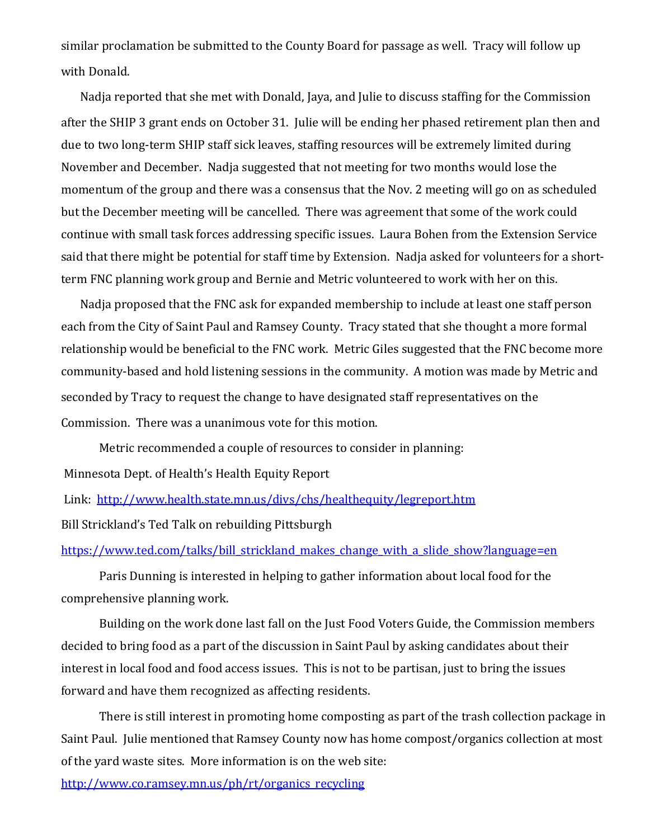similar proclamation be submitted to the County Board for passage as well. Tracy will follow up with Donald.

Nadja reported that she met with Donald, Jaya, and Julie to discuss staffing for the Commission after the SHIP 3 grant ends on October 31. Julie will be ending her phased retirement plan then and due to two long-term SHIP staff sick leaves, staffing resources will be extremely limited during November and December. Nadja suggested that not meeting for two months would lose the momentum of the group and there was a consensus that the Nov. 2 meeting will go on as scheduled but the December meeting will be cancelled. There was agreement that some of the work could continue with small task forces addressing specific issues. Laura Bohen from the Extension Service said that there might be potential for staff time by Extension. Nadja asked for volunteers for a shortterm FNC planning work group and Bernie and Metric volunteered to work with her on this.

Nadja proposed that the FNC ask for expanded membership to include at least one staff person each from the City of Saint Paul and Ramsey County. Tracy stated that she thought a more formal relationship would be beneficial to the FNC work. Metric Giles suggested that the FNC become more community-based and hold listening sessions in the community. A motion was made by Metric and seconded by Tracy to request the change to have designated staff representatives on the Commission. There was a unanimous vote for this motion.

Metric recommended a couple of resources to consider in planning:

Minnesota Dept. of Health's Health Equity Report

Link: <http://www.health.state.mn.us/divs/chs/healthequity/legreport.htm>

Bill Strickland's Ted Talk on rebuilding Pittsburgh

[https://www.ted.com/talks/bill\\_strickland\\_makes\\_change\\_with\\_a\\_slide\\_show?language=en](https://www.ted.com/talks/bill_strickland_makes_change_with_a_slide_show?language=en)

Paris Dunning is interested in helping to gather information about local food for the comprehensive planning work.

Building on the work done last fall on the Just Food Voters Guide, the Commission members decided to bring food as a part of the discussion in Saint Paul by asking candidates about their interest in local food and food access issues. This is not to be partisan, just to bring the issues forward and have them recognized as affecting residents.

There is still interest in promoting home composting as part of the trash collection package in Saint Paul. Julie mentioned that Ramsey County now has home compost/organics collection at most of the yard waste sites. More information is on the web site:

[http://www.co.ramsey.mn.us/ph/rt/organics\\_recycling](http://www.co.ramsey.mn.us/ph/rt/organics_recycling)